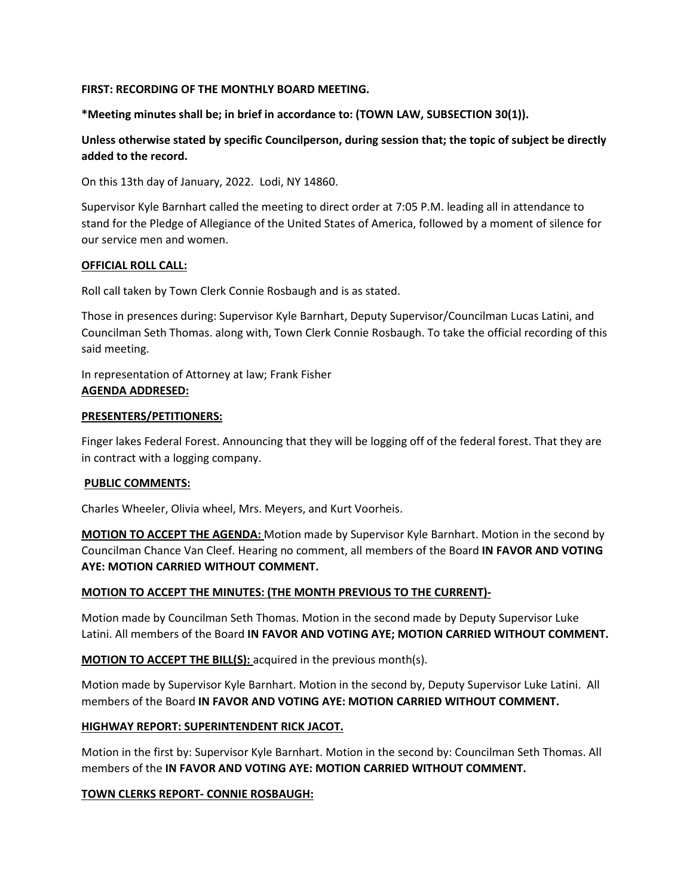## **FIRST: RECORDING OF THE MONTHLY BOARD MEETING.**

**\*Meeting minutes shall be; in brief in accordance to: (TOWN LAW, SUBSECTION 30(1)).**

**Unless otherwise stated by specific Councilperson, during session that; the topic of subject be directly added to the record.**

On this 13th day of January, 2022. Lodi, NY 14860.

Supervisor Kyle Barnhart called the meeting to direct order at 7:05 P.M. leading all in attendance to stand for the Pledge of Allegiance of the United States of America, followed by a moment of silence for our service men and women.

### **OFFICIAL ROLL CALL:**

Roll call taken by Town Clerk Connie Rosbaugh and is as stated.

Those in presences during: Supervisor Kyle Barnhart, Deputy Supervisor/Councilman Lucas Latini, and Councilman Seth Thomas. along with, Town Clerk Connie Rosbaugh. To take the official recording of this said meeting.

In representation of Attorney at law; Frank Fisher **AGENDA ADDRESED:**

### **PRESENTERS/PETITIONERS:**

Finger lakes Federal Forest. Announcing that they will be logging off of the federal forest. That they are in contract with a logging company.

### **PUBLIC COMMENTS:**

Charles Wheeler, Olivia wheel, Mrs. Meyers, and Kurt Voorheis.

**MOTION TO ACCEPT THE AGENDA:** Motion made by Supervisor Kyle Barnhart. Motion in the second by Councilman Chance Van Cleef. Hearing no comment, all members of the Board **IN FAVOR AND VOTING AYE: MOTION CARRIED WITHOUT COMMENT.**

## **MOTION TO ACCEPT THE MINUTES: (THE MONTH PREVIOUS TO THE CURRENT)-**

Motion made by Councilman Seth Thomas. Motion in the second made by Deputy Supervisor Luke Latini. All members of the Board **IN FAVOR AND VOTING AYE; MOTION CARRIED WITHOUT COMMENT.** 

**MOTION TO ACCEPT THE BILL(S):** acquired in the previous month(s).

Motion made by Supervisor Kyle Barnhart. Motion in the second by, Deputy Supervisor Luke Latini. All members of the Board **IN FAVOR AND VOTING AYE: MOTION CARRIED WITHOUT COMMENT.**

# **HIGHWAY REPORT: SUPERINTENDENT RICK JACOT.**

Motion in the first by: Supervisor Kyle Barnhart. Motion in the second by: Councilman Seth Thomas. All members of the **IN FAVOR AND VOTING AYE: MOTION CARRIED WITHOUT COMMENT.**

### **TOWN CLERKS REPORT- CONNIE ROSBAUGH:**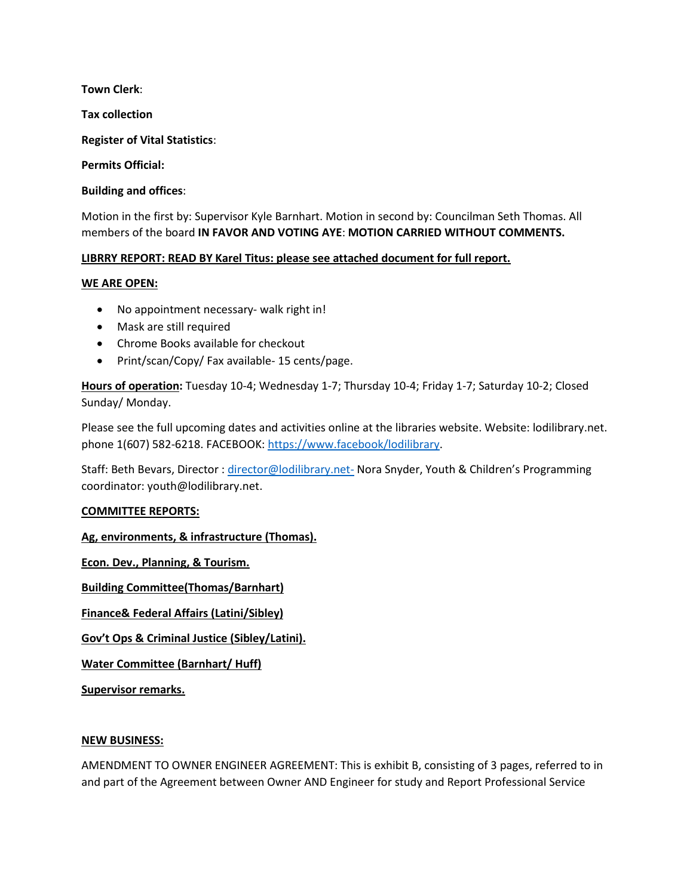**Town Clerk**:

**Tax collection**

**Register of Vital Statistics**:

**Permits Official:** 

**Building and offices**:

Motion in the first by: Supervisor Kyle Barnhart. Motion in second by: Councilman Seth Thomas. All members of the board **IN FAVOR AND VOTING AYE**: **MOTION CARRIED WITHOUT COMMENTS.**

## **LIBRRY REPORT: READ BY Karel Titus: please see attached document for full report.**

### **WE ARE OPEN:**

- No appointment necessary- walk right in!
- Mask are still required
- Chrome Books available for checkout
- Print/scan/Copy/ Fax available- 15 cents/page.

**Hours of operation:** Tuesday 10-4; Wednesday 1-7; Thursday 10-4; Friday 1-7; Saturday 10-2; Closed Sunday/ Monday.

Please see the full upcoming dates and activities online at the libraries website. Website: lodilibrary.net. phone 1(607) 582-6218. FACEBOOK[: https://www.facebook/lodilibrary.](https://www.facebook/lodilibrary)

Staff: Beth Bevars, Director : [director@lodilibrary.net-](mailto:director@lodilibrary.net-) Nora Snyder, Youth & Children's Programming coordinator: youth@lodilibrary.net.

## **COMMITTEE REPORTS:**

**Ag, environments, & infrastructure (Thomas).**

**Econ. Dev., Planning, & Tourism.**

**Building Committee(Thomas/Barnhart)**

**Finance& Federal Affairs (Latini/Sibley)**

**Gov't Ops & Criminal Justice (Sibley/Latini).** 

**Water Committee (Barnhart/ Huff)**

**Supervisor remarks.** 

### **NEW BUSINESS:**

AMENDMENT TO OWNER ENGINEER AGREEMENT: This is exhibit B, consisting of 3 pages, referred to in and part of the Agreement between Owner AND Engineer for study and Report Professional Service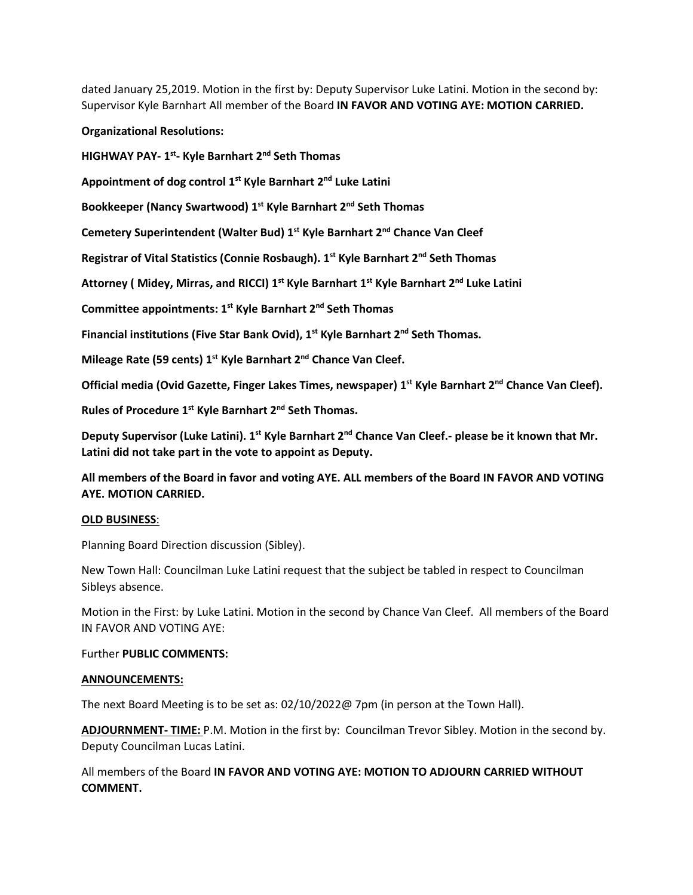dated January 25,2019. Motion in the first by: Deputy Supervisor Luke Latini. Motion in the second by: Supervisor Kyle Barnhart All member of the Board **IN FAVOR AND VOTING AYE: MOTION CARRIED.**

**Organizational Resolutions:** 

**HIGHWAY PAY- 1st- Kyle Barnhart 2nd Seth Thomas**

**Appointment of dog control 1st Kyle Barnhart 2nd Luke Latini**

**Bookkeeper (Nancy Swartwood) 1st Kyle Barnhart 2nd Seth Thomas** 

**Cemetery Superintendent (Walter Bud) 1st Kyle Barnhart 2nd Chance Van Cleef**

**Registrar of Vital Statistics (Connie Rosbaugh). 1st Kyle Barnhart 2nd Seth Thomas** 

**Attorney ( Midey, Mirras, and RICCI) 1st Kyle Barnhart 1st Kyle Barnhart 2nd Luke Latini**

**Committee appointments: 1st Kyle Barnhart 2nd Seth Thomas** 

**Financial institutions (Five Star Bank Ovid), 1st Kyle Barnhart 2nd Seth Thomas.**

**Mileage Rate (59 cents) 1st Kyle Barnhart 2nd Chance Van Cleef.**

**Official media (Ovid Gazette, Finger Lakes Times, newspaper) 1st Kyle Barnhart 2nd Chance Van Cleef).**

**Rules of Procedure 1st Kyle Barnhart 2nd Seth Thomas.**

**Deputy Supervisor (Luke Latini). 1st Kyle Barnhart 2nd Chance Van Cleef.- please be it known that Mr. Latini did not take part in the vote to appoint as Deputy.** 

**All members of the Board in favor and voting AYE. ALL members of the Board IN FAVOR AND VOTING AYE. MOTION CARRIED.** 

## **OLD BUSINESS**:

Planning Board Direction discussion (Sibley).

New Town Hall: Councilman Luke Latini request that the subject be tabled in respect to Councilman Sibleys absence.

Motion in the First: by Luke Latini. Motion in the second by Chance Van Cleef. All members of the Board IN FAVOR AND VOTING AYE:

### Further **PUBLIC COMMENTS:**

### **ANNOUNCEMENTS:**

The next Board Meeting is to be set as: 02/10/2022@ 7pm (in person at the Town Hall).

**ADJOURNMENT- TIME:** P.M. Motion in the first by: Councilman Trevor Sibley. Motion in the second by. Deputy Councilman Lucas Latini.

All members of the Board **IN FAVOR AND VOTING AYE: MOTION TO ADJOURN CARRIED WITHOUT COMMENT.**